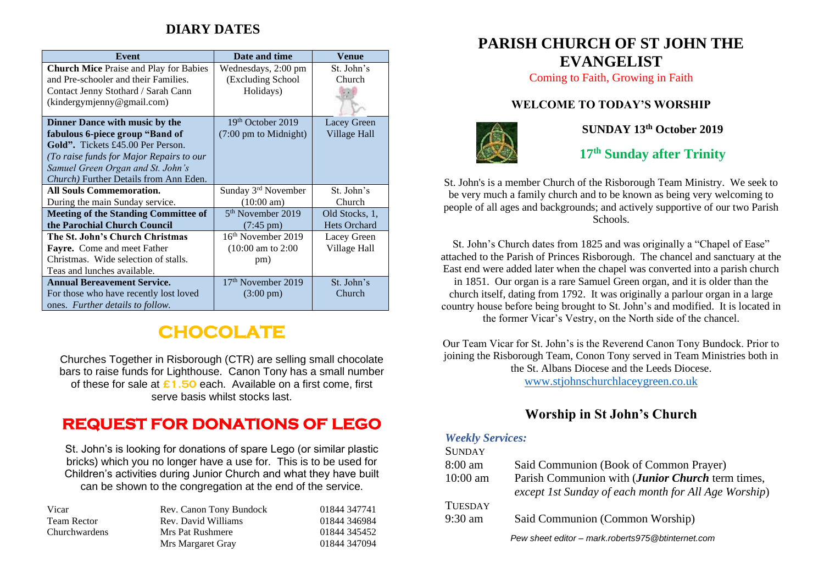### **DIARY DATES**

| Event                                          | Date and time                   | Venue               |
|------------------------------------------------|---------------------------------|---------------------|
| <b>Church Mice Praise and Play for Babies</b>  | Wednesdays, 2:00 pm             | St. John's          |
| and Pre-schooler and their Families.           | (Excluding School)              | Church              |
| Contact Jenny Stothard / Sarah Cann            | Holidays)                       |                     |
| (kindergymjenny@gmail.com)                     |                                 |                     |
|                                                |                                 |                     |
| Dinner Dance with music by the                 | 19th October 2019               | Lacey Green         |
| fabulous 6-piece group "Band of                | $(7:00 \text{ pm to Midnight})$ | Village Hall        |
| Gold". Tickets £45.00 Per Person.              |                                 |                     |
| (To raise funds for Major Repairs to our       |                                 |                     |
| Samuel Green Organ and St. John's              |                                 |                     |
| <i>Church</i> ) Further Details from Ann Eden. |                                 |                     |
| <b>All Souls Commemoration.</b>                | Sunday 3rd November             | St. John's          |
| During the main Sunday service.                | $(10:00 \text{ am})$            | Church              |
| <b>Meeting of the Standing Committee of</b>    | 5 <sup>th</sup> November 2019   | Old Stocks, 1,      |
| the Parochial Church Council                   | $(7:45 \text{ pm})$             | <b>Hets Orchard</b> |
| The St. John's Church Christmas                | $16th$ November 2019            | Lacey Green         |
| Fayre. Come and meet Father                    | $(10:00 \text{ am to } 2:00$    | Village Hall        |
| Christmas. Wide selection of stalls.           | pm)                             |                     |
| Teas and lunches available.                    |                                 |                     |
| <b>Annual Bereavement Service.</b>             | 17 <sup>th</sup> November 2019  | St. John's          |
| For those who have recently lost loved         | $(3:00 \text{ pm})$             | Church              |
| ones. Further details to follow.               |                                 |                     |

# **CHOCOLATE**

Churches Together in Risborough (CTR) are selling small chocolate bars to raise funds for Lighthouse. Canon Tony has a small number of these for sale at **£1.50** each. Available on a first come, first serve basis whilst stocks last.

## **REQUEST FOR DONATIONS OF LEGO**

St. John's is looking for donations of spare Lego (or similar plastic bricks) which you no longer have a use for. This is to be used for Children's activities during Junior Church and what they have built can be shown to the congregation at the end of the service.

| Vicar              | Rev. Canon Tony Bundock | 01844 347741 |
|--------------------|-------------------------|--------------|
| <b>Team Rector</b> | Rev. David Williams     | 01844 346984 |
| Churchwardens      | Mrs Pat Rushmere        | 01844 345452 |
|                    | Mrs Margaret Gray       | 01844 347094 |

### **PARISH CHURCH OF ST JOHN THE EVANGELIST**

Coming to Faith, Growing in Faith

#### **WELCOME TO TODAY'S WORSHIP**



**SUNDAY 13th October 2019**

**17 th Sunday after Trinity**

St. John's is a member Church of the Risborough Team Ministry. We seek to be very much a family church and to be known as being very welcoming to people of all ages and backgrounds; and actively supportive of our two Parish Schools.

St. John's Church dates from 1825 and was originally a "Chapel of Ease" attached to the Parish of Princes Risborough. The chancel and sanctuary at the East end were added later when the chapel was converted into a parish church in 1851. Our organ is a rare Samuel Green organ, and it is older than the church itself, dating from 1792. It was originally a parlour organ in a large country house before being brought to St. John's and modified. It is located in the former Vicar's Vestry, on the North side of the chancel.

Our Team Vicar for St. John's is the Reverend Canon Tony Bundock. Prior to joining the Risborough Team, Conon Tony served in Team Ministries both in the St. Albans Diocese and the Leeds Diocese. [www.stjohnschurchlaceygreen.co.uk](http://www.stjohnschurchlaceygreen.co.uk/)

**Worship in St John's Church**

#### *Weekly Services:*

#### **SUNDAY** 8:00 am Said Communion (Book of Common Prayer) 10:00 am Parish Communion with (*Junior Church* term times, *except 1st Sunday of each month for All Age Worship*) **TUESDAY** 9:30 am Said Communion (Common Worship) *Pew sheet editor – mark.roberts975@btinternet.com*